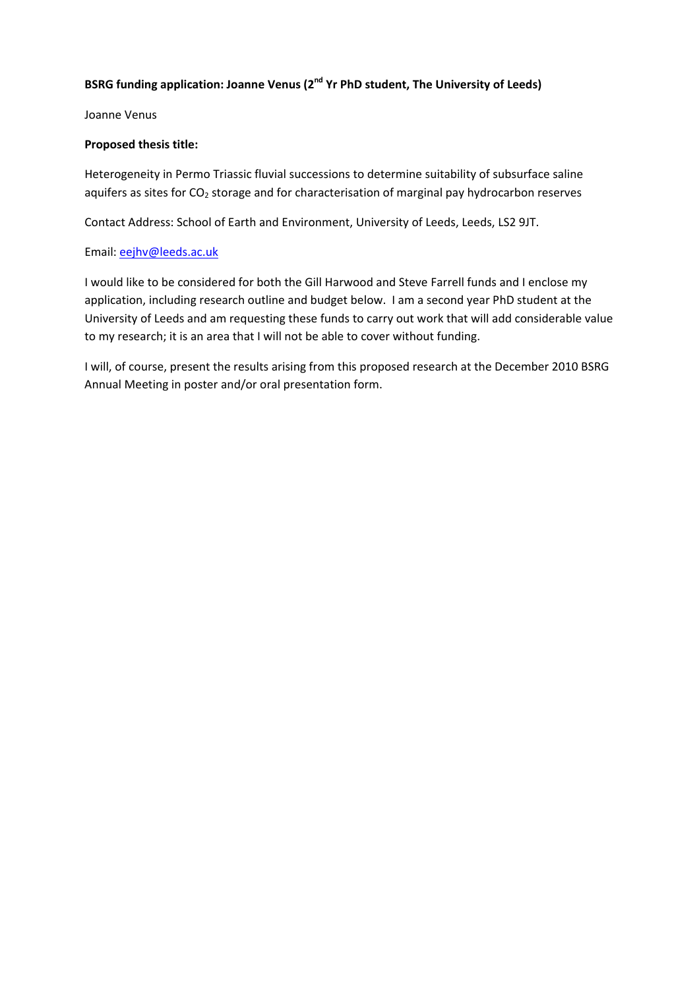# **BSRG funding application: Joanne Venus (2nd Yr PhD student, The University of Leeds)**

Joanne Venus

## **Proposed thesis title:**

Heterogeneity in Permo Triassic fluvial successions to determine suitability of subsurface saline aquifers as sites for  $CO<sub>2</sub>$  storage and for characterisation of marginal pay hydrocarbon reserves

Contact Address: School of Earth and Environment, University of Leeds, Leeds, LS2 9JT.

# Email: eejhv@leeds.ac.uk

I would like to be considered for both the Gill Harwood and Steve Farrell funds and I enclose my application, including research outline and budget below. I am a second year PhD student at the University of Leeds and am requesting these funds to carry out work that will add considerable value to my research; it is an area that I will not be able to cover without funding.

I will, of course, present the results arising from this proposed research at the December 2010 BSRG Annual Meeting in poster and/or oral presentation form.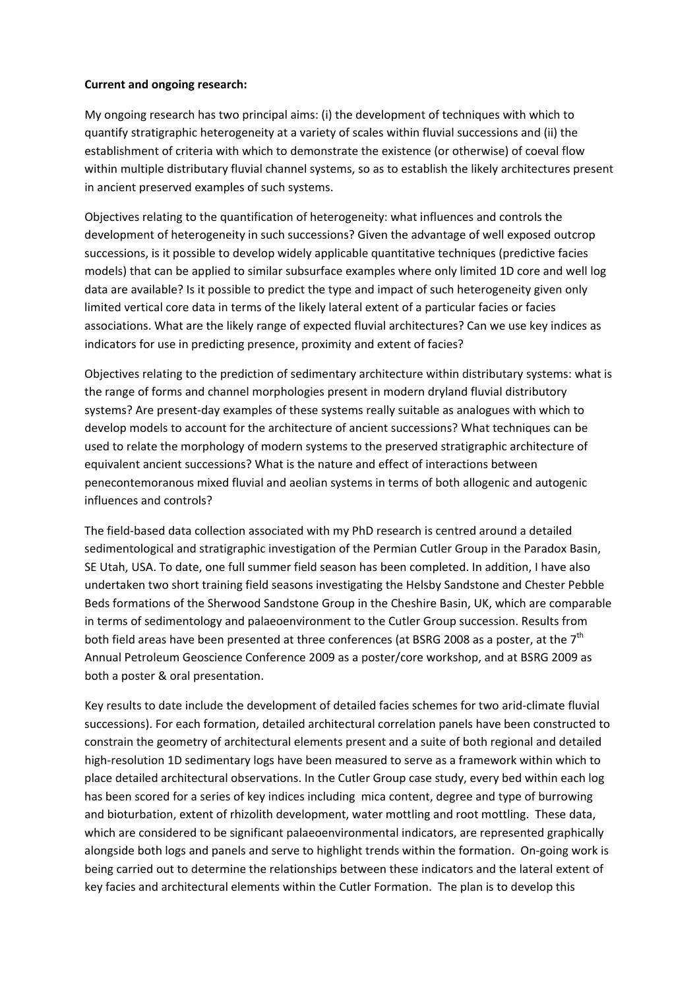## **Current and ongoing research:**

My ongoing research has two principal aims: (i) the development of techniques with which to quantify stratigraphic heterogeneity at a variety of scales within fluvial successions and (ii) the establishment of criteria with which to demonstrate the existence (or otherwise) of coeval flow within multiple distributary fluvial channel systems, so as to establish the likely architectures present in ancient preserved examples of such systems.

Objectives relating to the quantification of heterogeneity: what influences and controls the development of heterogeneity in such successions? Given the advantage of well exposed outcrop successions, is it possible to develop widely applicable quantitative techniques (predictive facies models) that can be applied to similar subsurface examples where only limited 1D core and well log data are available? Is it possible to predict the type and impact of such heterogeneity given only limited vertical core data in terms of the likely lateral extent of a particular facies or facies associations. What are the likely range of expected fluvial architectures? Can we use key indices as indicators for use in predicting presence, proximity and extent of facies?

Objectives relating to the prediction of sedimentary architecture within distributary systems: what is the range of forms and channel morphologies present in modern dryland fluvial distributory systems? Are present-day examples of these systems really suitable as analogues with which to develop models to account for the architecture of ancient successions? What techniques can be used to relate the morphology of modern systems to the preserved stratigraphic architecture of equivalent ancient successions? What is the nature and effect of interactions between penecontemoranous mixed fluvial and aeolian systems in terms of both allogenic and autogenic influences and controls?

The field‐based data collection associated with my PhD research is centred around a detailed sedimentological and stratigraphic investigation of the Permian Cutler Group in the Paradox Basin, SE Utah, USA. To date, one full summer field season has been completed. In addition, I have also undertaken two short training field seasons investigating the Helsby Sandstone and Chester Pebble Beds formations of the Sherwood Sandstone Group in the Cheshire Basin, UK, which are comparable in terms of sedimentology and palaeoenvironment to the Cutler Group succession. Results from both field areas have been presented at three conferences (at BSRG 2008 as a poster, at the  $7<sup>th</sup>$ Annual Petroleum Geoscience Conference 2009 as a poster/core workshop, and at BSRG 2009 as both a poster & oral presentation.

Key results to date include the development of detailed facies schemes for two arid‐climate fluvial successions). For each formation, detailed architectural correlation panels have been constructed to constrain the geometry of architectural elements present and a suite of both regional and detailed high-resolution 1D sedimentary logs have been measured to serve as a framework within which to place detailed architectural observations. In the Cutler Group case study, every bed within each log has been scored for a series of key indices including mica content, degree and type of burrowing and bioturbation, extent of rhizolith development, water mottling and root mottling. These data, which are considered to be significant palaeoenvironmental indicators, are represented graphically alongside both logs and panels and serve to highlight trends within the formation. On‐going work is being carried out to determine the relationships between these indicators and the lateral extent of key facies and architectural elements within the Cutler Formation. The plan is to develop this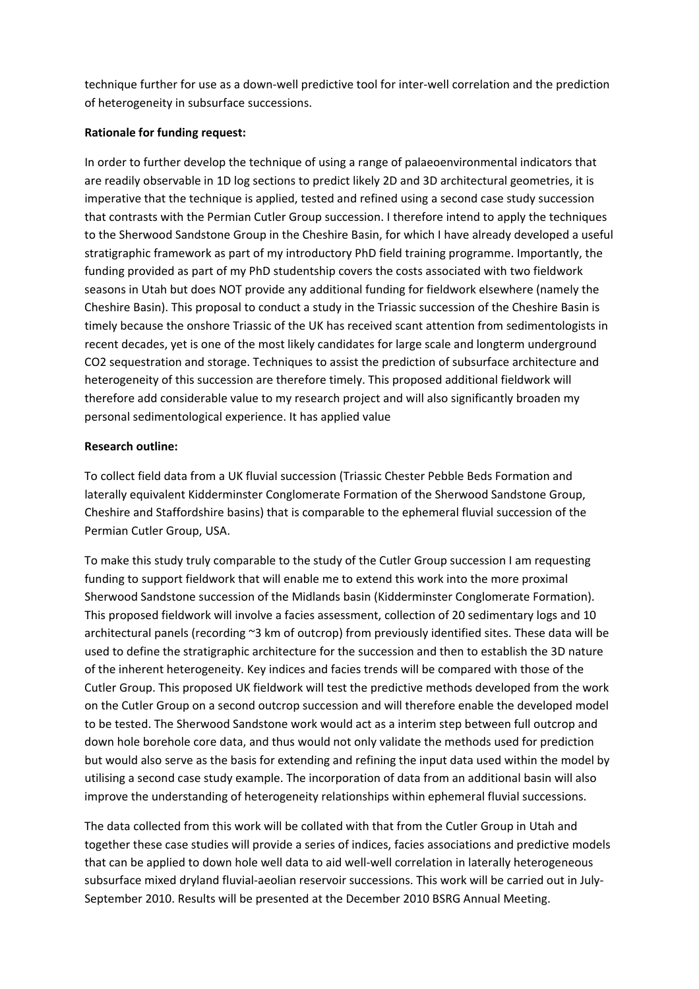technique further for use as a down‐well predictive tool for inter‐well correlation and the prediction of heterogeneity in subsurface successions.

### **Rationale for funding request:**

In order to further develop the technique of using a range of palaeoenvironmental indicators that are readily observable in 1D log sections to predict likely 2D and 3D architectural geometries, it is imperative that the technique is applied, tested and refined using a second case study succession that contrasts with the Permian Cutler Group succession. I therefore intend to apply the techniques to the Sherwood Sandstone Group in the Cheshire Basin, for which I have already developed a useful stratigraphic framework as part of my introductory PhD field training programme. Importantly, the funding provided as part of my PhD studentship covers the costs associated with two fieldwork seasons in Utah but does NOT provide any additional funding for fieldwork elsewhere (namely the Cheshire Basin). This proposal to conduct a study in the Triassic succession of the Cheshire Basin is timely because the onshore Triassic of the UK has received scant attention from sedimentologists in recent decades, yet is one of the most likely candidates for large scale and longterm underground CO2 sequestration and storage. Techniques to assist the prediction of subsurface architecture and heterogeneity of this succession are therefore timely. This proposed additional fieldwork will therefore add considerable value to my research project and will also significantly broaden my personal sedimentological experience. It has applied value

### **Research outline:**

To collect field data from a UK fluvial succession (Triassic Chester Pebble Beds Formation and laterally equivalent Kidderminster Conglomerate Formation of the Sherwood Sandstone Group, Cheshire and Staffordshire basins) that is comparable to the ephemeral fluvial succession of the Permian Cutler Group, USA.

To make this study truly comparable to the study of the Cutler Group succession I am requesting funding to support fieldwork that will enable me to extend this work into the more proximal Sherwood Sandstone succession of the Midlands basin (Kidderminster Conglomerate Formation). This proposed fieldwork will involve a facies assessment, collection of 20 sedimentary logs and 10 architectural panels (recording ~3 km of outcrop) from previously identified sites. These data will be used to define the stratigraphic architecture for the succession and then to establish the 3D nature of the inherent heterogeneity. Key indices and facies trends will be compared with those of the Cutler Group. This proposed UK fieldwork will test the predictive methods developed from the work on the Cutler Group on a second outcrop succession and will therefore enable the developed model to be tested. The Sherwood Sandstone work would act as a interim step between full outcrop and down hole borehole core data, and thus would not only validate the methods used for prediction but would also serve as the basis for extending and refining the input data used within the model by utilising a second case study example. The incorporation of data from an additional basin will also improve the understanding of heterogeneity relationships within ephemeral fluvial successions.

The data collected from this work will be collated with that from the Cutler Group in Utah and together these case studies will provide a series of indices, facies associations and predictive models that can be applied to down hole well data to aid well‐well correlation in laterally heterogeneous subsurface mixed dryland fluvial-aeolian reservoir successions. This work will be carried out in July-September 2010. Results will be presented at the December 2010 BSRG Annual Meeting.